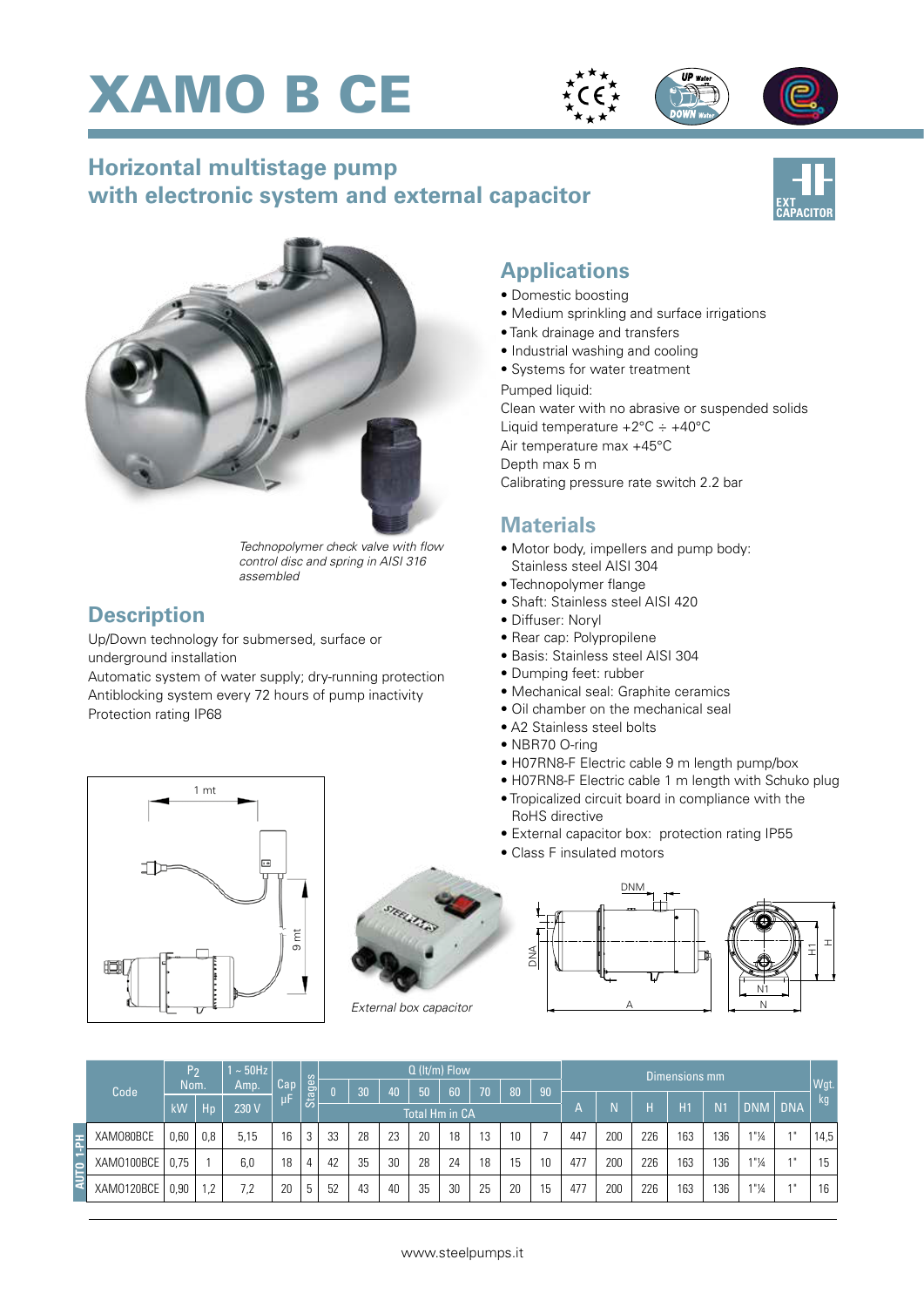



## **Horizontal multistage pump with electronic system and external capacitor**





*Technopolymer check valve with flow control disc and spring in AISI 316 assembled*

#### **Description**

Up/Down technology for submersed, surface or underground installation

Automatic system of water supply; dry-running protection Antiblocking system every 72 hours of pump inactivity Protection rating IP68





#### **Applications**

- Domestic boosting
- Medium sprinkling and surface irrigations
- Tank drainage and transfers
- Industrial washing and cooling
- Systems for water treatment

Pumped liquid:

Clean water with no abrasive or suspended solids Liquid temperature  $+2^{\circ}$ C  $\div$   $+40^{\circ}$ C Air temperature max +45°C Depth max 5 m Calibrating pressure rate switch 2.2 bar

### **Materials**

- Motor body, impellers and pump body: Stainless steel AISI 304
- Technopolymer flange
- Shaft: Stainless steel AISI 420
- Diffuser: Noryl
- Rear cap: Polypropilene
- Basis: Stainless steel AISI 304
- Dumping feet: rubber
- Mechanical seal: Graphite ceramics
- Oil chamber on the mechanical seal
- A2 Stainless steel bolts
- NBR70 O-ring

DNA

- H07RN8-F Electric cable 9 m length pump/box
- H07RN8-F Electric cable 1 m length with Schuko plug
- Tropicalized circuit board in compliance with the RoHS directive
- External capacitor box: protection rating IP55
- Class F insulated motors





| Code       | P٥<br>Nom. |     | $\sim$ 50Hz<br>Amp. | Cap | Stages | $Q$ (It/m) Flow       |    |    |    |    |                 |    |    | Dimensions mm           |     |     |     |                |                                  |            |      |
|------------|------------|-----|---------------------|-----|--------|-----------------------|----|----|----|----|-----------------|----|----|-------------------------|-----|-----|-----|----------------|----------------------------------|------------|------|
|            |            |     |                     |     |        |                       | 30 | 40 | 50 | 60 | 70 <sup>1</sup> | 80 | 90 |                         |     |     |     |                |                                  |            | Wgt. |
|            | kW         | Hp  | 230 V               | μF  |        | <b>Total Hm in CA</b> |    |    |    |    |                 |    |    | $\overline{\mathsf{A}}$ |     | н   | H1  | N <sub>1</sub> | <b>DNM</b>                       | <b>DNA</b> | kg   |
| XAM080BCE  | 0,60       | 0,8 | 5,15                | 16  | 3      | 33                    | 28 | 23 | 20 | 18 | 13              | 10 |    | 447                     | 200 | 226 | 163 | 136            | 1"1/4                            | $A$ II     | 14,5 |
| XAM0100BCE | 0.75       |     | 6,0                 | 18  | 4      | 42                    | 35 | 30 | 28 | 24 | 18              | 15 | 10 | 477                     | 200 | 226 | 163 | 136            | $1"$ <sup>1</sup> / <sub>4</sub> | 4H         | 15   |
| XAM0120BCE | 0,90       | .2  | 7,2                 | 20  | .5     | 52                    | 43 | 40 | 35 | 30 | 25              | 20 | 15 | 477                     | 200 | 226 | 163 | 136            | 1"1/4                            | 4H         | 16   |